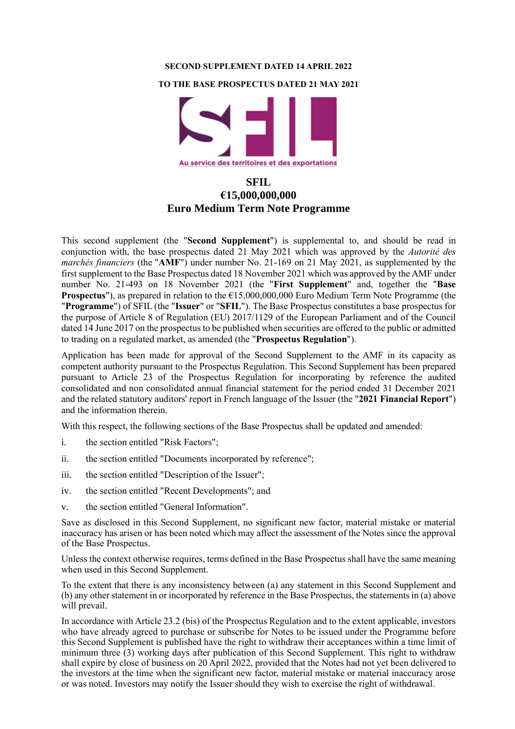#### **SECOND SUPPLEMENT DATED 14 APRIL 2022**

#### **TO THE BASE PROSPECTUS DATED 21 MAY 2021**



# **SFIL €15,000,000,000 Euro Medium Term Note Programme**

This second supplement (the "**Second Supplement**") is supplemental to, and should be read in conjunction with, the base prospectus dated 21 May 2021 which was approved by the *Autorité des marchés financiers* (the "**AMF**") under number No. 21-169 on 21 May 2021, as supplemented by the first supplement to the Base Prospectus dated 18 November 2021 which was approved by the AMF under number No. 21-493 on 18 November 2021 (the "**First Supplement**" and, together the "**Base Prospectus**"), as prepared in relation to the €15,000,000,000 Euro Medium Term Note Programme (the "**Programme**") of SFIL (the "**Issuer**" or "**SFIL**"). The Base Prospectus constitutes a base prospectus for the purpose of Article 8 of Regulation (EU) 2017/1129 of the European Parliament and of the Council dated 14 June 2017 on the prospectus to be published when securities are offered to the public or admitted to trading on a regulated market, as amended (the "**Prospectus Regulation**").

Application has been made for approval of the Second Supplement to the AMF in its capacity as competent authority pursuant to the Prospectus Regulation. This Second Supplement has been prepared pursuant to Article 23 of the Prospectus Regulation for incorporating by reference the audited consolidated and non consolidated annual financial statement for the period ended 31 December 2021 and the related statutory auditors' report in French language of the Issuer (the "**2021 Financial Report**") and the information therein.

With this respect, the following sections of the Base Prospectus shall be updated and amended:

- i. the section entitled "Risk Factors";
- ii. the section entitled "Documents incorporated by reference";
- iii. the section entitled "Description of the Issuer";
- iv. the section entitled "Recent Developments"; and
- v. the section entitled "General Information".

Save as disclosed in this Second Supplement, no significant new factor, material mistake or material inaccuracy has arisen or has been noted which may affect the assessment of the Notes since the approval of the Base Prospectus.

Unless the context otherwise requires, terms defined in the Base Prospectus shall have the same meaning when used in this Second Supplement.

To the extent that there is any inconsistency between (a) any statement in this Second Supplement and (b) any other statement in or incorporated by reference in the Base Prospectus, the statements in (a) above will prevail.

In accordance with Article 23.2 (bis) of the Prospectus Regulation and to the extent applicable, investors who have already agreed to purchase or subscribe for Notes to be issued under the Programme before this Second Supplement is published have the right to withdraw their acceptances within a time limit of minimum three (3) working days after publication of this Second Supplement. This right to withdraw shall expire by close of business on 20 April 2022, provided that the Notes had not yet been delivered to the investors at the time when the significant new factor, material mistake or material inaccuracy arose or was noted. Investors may notify the Issuer should they wish to exercise the right of withdrawal.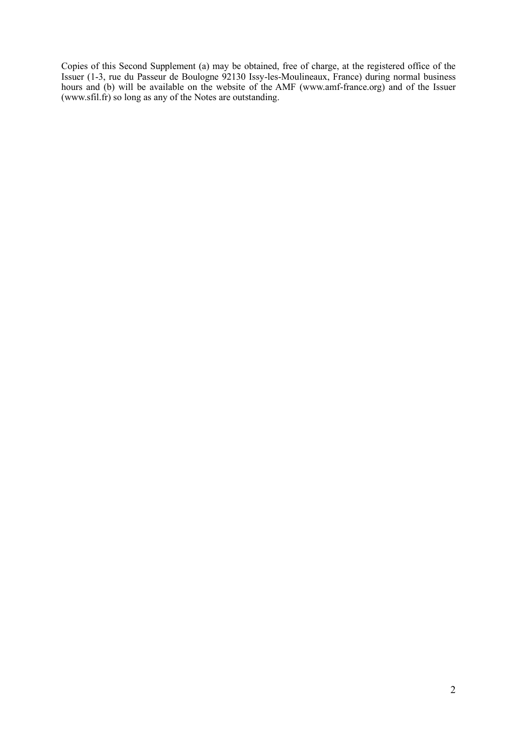Copies of this Second Supplement (a) may be obtained, free of charge, at the registered office of the Issuer (1-3, rue du Passeur de Boulogne 92130 Issy-les-Moulineaux, France) during normal business hours and (b) will be available on the website of the AMF (www.amf-france.org) and of the Issuer (www.sfil.fr) so long as any of the Notes are outstanding.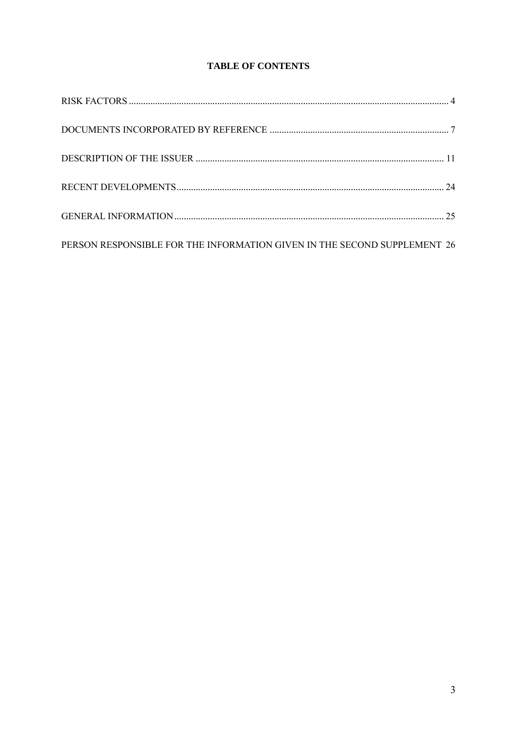# **TABLE OF CONTENTS**

| PERSON RESPONSIBLE FOR THE INFORMATION GIVEN IN THE SECOND SUPPLEMENT 26 |  |
|--------------------------------------------------------------------------|--|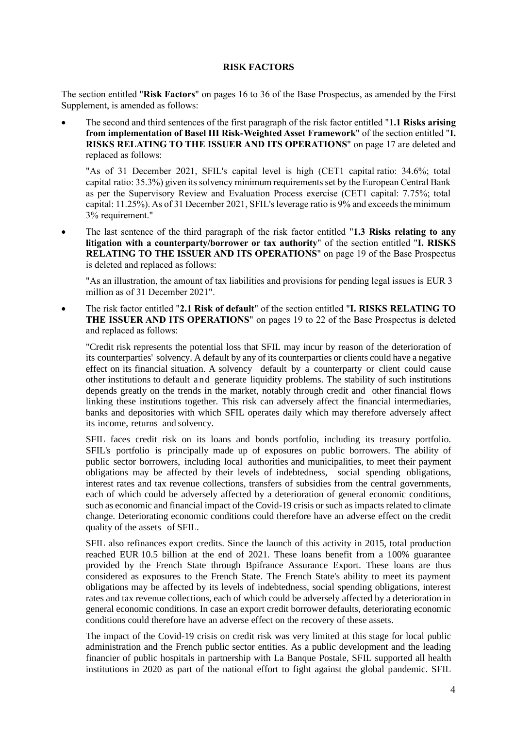#### **RISK FACTORS**

<span id="page-3-0"></span>The section entitled "**Risk Factors**" on pages 16 to 36 of the Base Prospectus, as amended by the First Supplement, is amended as follows:

• The second and third sentences of the first paragraph of the risk factor entitled "**1.1 Risks arising from implementation of Basel III Risk-Weighted Asset Framework**" of the section entitled "**I. RISKS RELATING TO THE ISSUER AND ITS OPERATIONS**" on page 17 are deleted and replaced as follows:

"As of 31 December 2021, SFIL's capital level is high (CET1 capital ratio: 34.6%; total capital ratio: 35.3%) given its solvency minimum requirements set by the European Central Bank as per the Supervisory Review and Evaluation Process exercise (CET1 capital: 7.75%; total capital: 11.25%). As of 31 December 2021, SFIL's leverage ratio is 9% and exceeds the minimum 3% requirement."

The last sentence of the third paragraph of the risk factor entitled "1.3 Risks relating to any **litigation with a counterparty/borrower or tax authority**" of the section entitled "**I. RISKS RELATING TO THE ISSUER AND ITS OPERATIONS**" on page 19 of the Base Prospectus is deleted and replaced as follows:

"As an illustration, the amount of tax liabilities and provisions for pending legal issues is EUR 3 million as of 31 December 2021".

• The risk factor entitled "**2.1 Risk of default**" of the section entitled "**I. RISKS RELATING TO THE ISSUER AND ITS OPERATIONS**" on pages 19 to 22 of the Base Prospectus is deleted and replaced as follows:

"Credit risk represents the potential loss that SFIL may incur by reason of the deterioration of its counterparties' solvency. A default by any of its counterparties or clients could have a negative effect on its financial situation. A solvency default by a counterparty or client could cause other institutions to default and generate liquidity problems. The stability of such institutions depends greatly on the trends in the market, notably through credit and other financial flows linking these institutions together. This risk can adversely affect the financial intermediaries, banks and depositories with which SFIL operates daily which may therefore adversely affect its income, returns and solvency.

SFIL faces credit risk on its loans and bonds portfolio, including its treasury portfolio. SFIL's portfolio is principally made up of exposures on public borrowers. The ability of public sector borrowers, including local authorities and municipalities, to meet their payment obligations may be affected by their levels of indebtedness, social spending obligations, interest rates and tax revenue collections, transfers of subsidies from the central governments, each of which could be adversely affected by a deterioration of general economic conditions, such as economic and financial impact of the Covid-19 crisis or such as impacts related to climate change. Deteriorating economic conditions could therefore have an adverse effect on the credit quality of the assets of SFIL.

SFIL also refinances export credits. Since the launch of this activity in 2015, total production reached EUR 10.5 billion at the end of 2021. These loans benefit from a 100% guarantee provided by the French State through Bpifrance Assurance Export. These loans are thus considered as exposures to the French State. The French State's ability to meet its payment obligations may be affected by its levels of indebtedness, social spending obligations, interest rates and tax revenue collections, each of which could be adversely affected by a deterioration in general economic conditions. In case an export credit borrower defaults, deteriorating economic conditions could therefore have an adverse effect on the recovery of these assets.

The impact of the Covid-19 crisis on credit risk was very limited at this stage for local public administration and the French public sector entities. As a public development and the leading financier of public hospitals in partnership with La Banque Postale, SFIL supported all health institutions in 2020 as part of the national effort to fight against the global pandemic. SFIL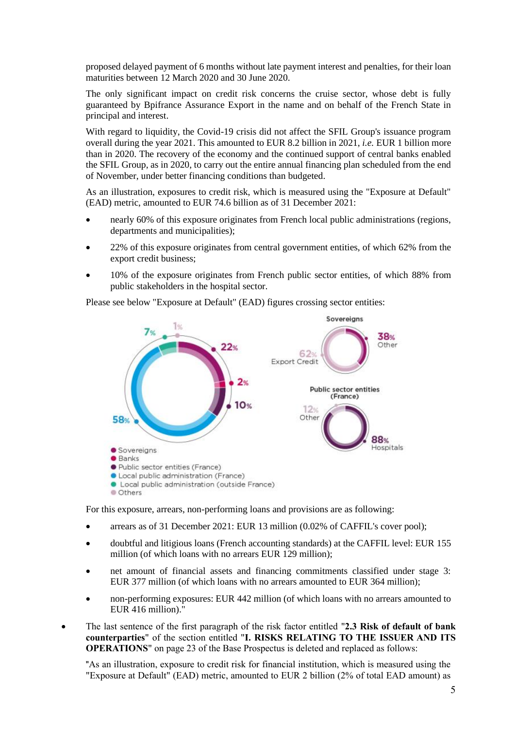proposed delayed payment of 6 months without late payment interest and penalties, for their loan maturities between 12 March 2020 and 30 June 2020.

The only significant impact on credit risk concerns the cruise sector, whose debt is fully guaranteed by Bpifrance Assurance Export in the name and on behalf of the French State in principal and interest.

With regard to liquidity, the Covid-19 crisis did not affect the SFIL Group's issuance program overall during the year 2021. This amounted to EUR 8.2 billion in 2021, *i.e.* EUR 1 billion more than in 2020. The recovery of the economy and the continued support of central banks enabled the SFIL Group, as in 2020, to carry out the entire annual financing plan scheduled from the end of November, under better financing conditions than budgeted.

As an illustration, exposures to credit risk, which is measured using the "Exposure at Default" (EAD) metric, amounted to EUR 74.6 billion as of 31 December 2021:

- nearly 60% of this exposure originates from French local public administrations (regions, departments and municipalities);
- 22% of this exposure originates from central government entities, of which 62% from the export credit business;
- 10% of the exposure originates from French public sector entities, of which 88% from public stakeholders in the hospital sector.

Please see below "Exposure at Default" (EAD) figures crossing sector entities:



For this exposure, arrears, non-performing loans and provisions are as following:

- arrears as of 31 December 2021: EUR 13 million (0.02% of CAFFIL's cover pool);
- doubtful and litigious loans (French accounting standards) at the CAFFIL level: EUR 155 million (of which loans with no arrears EUR 129 million);
- net amount of financial assets and financing commitments classified under stage 3: EUR 377 million (of which loans with no arrears amounted to EUR 364 million);
- non-performing exposures: EUR 442 million (of which loans with no arrears amounted to EUR 416 million)."
- The last sentence of the first paragraph of the risk factor entitled "**2.3 Risk of default of bank counterparties**" of the section entitled "**I. RISKS RELATING TO THE ISSUER AND ITS OPERATIONS**" on page 23 of the Base Prospectus is deleted and replaced as follows:

"As an illustration, exposure to credit risk for financial institution, which is measured using the "Exposure at Default" (EAD) metric, amounted to EUR 2 billion (2% of total EAD amount) as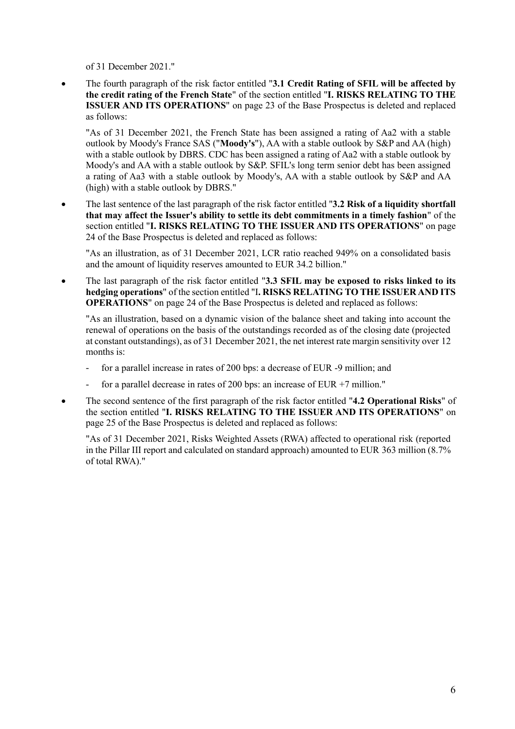of 31 December 2021."

• The fourth paragraph of the risk factor entitled "**3.1 Credit Rating of SFIL will be affected by the credit rating of the French State**" of the section entitled "**I. RISKS RELATING TO THE ISSUER AND ITS OPERATIONS**" on page 23 of the Base Prospectus is deleted and replaced as follows:

"As of 31 December 2021, the French State has been assigned a rating of Aa2 with a stable outlook by Moody's France SAS ("**Moody's**"), AA with a stable outlook by S&P and AA (high) with a stable outlook by DBRS. CDC has been assigned a rating of Aa2 with a stable outlook by Moody's and AA with a stable outlook by S&P. SFIL's long term senior debt has been assigned a rating of Aa3 with a stable outlook by Moody's, AA with a stable outlook by S&P and AA (high) with a stable outlook by DBRS."

• The last sentence of the last paragraph of the risk factor entitled "**3.2 Risk of a liquidity shortfall that may affect the Issuer's ability to settle its debt commitments in a timely fashion**" of the section entitled "**I. RISKS RELATING TO THE ISSUER AND ITS OPERATIONS**" on page 24 of the Base Prospectus is deleted and replaced as follows:

"As an illustration, as of 31 December 2021, LCR ratio reached 949% on a consolidated basis and the amount of liquidity reserves amounted to EUR 34.2 billion."

• The last paragraph of the risk factor entitled "**3.3 SFIL may be exposed to risks linked to its hedging operations**" of the section entitled "I**. RISKS RELATING TO THE ISSUER AND ITS OPERATIONS**" on page 24 of the Base Prospectus is deleted and replaced as follows:

"As an illustration, based on a dynamic vision of the balance sheet and taking into account the renewal of operations on the basis of the outstandings recorded as of the closing date (projected at constant outstandings), as of 31 December 2021, the net interest rate margin sensitivity over 12 months is:

- for a parallel increase in rates of 200 bps: a decrease of EUR -9 million; and
- for a parallel decrease in rates of 200 bps: an increase of EUR  $+7$  million."
- The second sentence of the first paragraph of the risk factor entitled "**4.2 Operational Risks**" of the section entitled "**I. RISKS RELATING TO THE ISSUER AND ITS OPERATIONS**" on page 25 of the Base Prospectus is deleted and replaced as follows:

"As of 31 December 2021, Risks Weighted Assets (RWA) affected to operational risk (reported in the Pillar III report and calculated on standard approach) amounted to EUR 363 million (8.7% of total RWA)."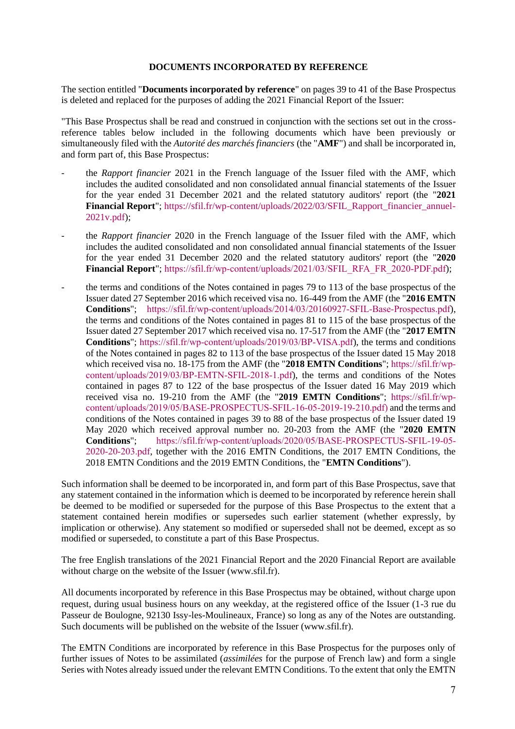#### **DOCUMENTS INCORPORATED BY REFERENCE**

<span id="page-6-0"></span>The section entitled "**Documents incorporated by reference**" on pages 39 to 41 of the Base Prospectus is deleted and replaced for the purposes of adding the 2021 Financial Report of the Issuer:

"This Base Prospectus shall be read and construed in conjunction with the sections set out in the crossreference tables below included in the following documents which have been previously or simultaneously filed with the *Autorité des marchés financiers* (the "**AMF**") and shall be incorporated in, and form part of, this Base Prospectus:

- the *Rapport financier* 2021 in the French language of the Issuer filed with the AMF, which includes the audited consolidated and non consolidated annual financial statements of the Issuer for the year ended 31 December 2021 and the related statutory auditors' report (the "**2021 Financial Report**"; [https://sfil.fr/wp-content/uploads/2022/03/SFIL\\_Rapport\\_financier\\_annuel-](https://sfil.fr/wp-content/uploads/2022/03/SFIL_Rapport_financier_annuel-2021v.pdf)[2021v.pdf\)](https://sfil.fr/wp-content/uploads/2022/03/SFIL_Rapport_financier_annuel-2021v.pdf);
- the *Rapport financier* 2020 in the French language of the Issuer filed with the AMF, which includes the audited consolidated and non consolidated annual financial statements of the Issuer for the year ended 31 December 2020 and the related statutory auditors' report (the "**2020 Financial Report**"; [https://sfil.fr/wp-content/uploads/2021/03/SFIL\\_RFA\\_FR\\_2020-PDF.pdf\)](https://sfil.fr/wp-content/uploads/2021/03/SFIL_RFA_FR_2020-PDF.pdf);
- the terms and conditions of the Notes contained in pages 79 to 113 of the base prospectus of the Issuer dated 27 September 2016 which received visa no. 16-449 from the AMF (the "**2016 EMTN Conditions**"; [https://sfil.fr/wp-content/uploads/2014/03/20160927-SFIL-Base-Prospectus.pdf\)](https://sfil.fr/wp-content/uploads/2014/03/20160927-SFIL-Base-Prospectus.pdf), the terms and conditions of the Notes contained in pages 81 to 115 of the base prospectus of the Issuer dated 27 September 2017 which received visa no. 17-517 from the AMF (the "**2017 EMTN Conditions**"; [https://sfil.fr/wp-content/uploads/2019/03/BP-VISA.pdf\)](https://sfil.fr/wp-content/uploads/2019/03/BP-VISA.pdf), the terms and conditions of the Notes contained in pages 82 to 113 of the base prospectus of the Issuer dated 15 May 2018 which received visa no. 18-175 from the AMF (the "**2018 EMTN Conditions**"; [https://sfil.fr/wp](https://sfil.fr/wp-content/uploads/2019/03/BP-EMTN-SFIL-2018-1.pdf)[content/uploads/2019/03/BP-EMTN-SFIL-2018-1.pdf\)](https://sfil.fr/wp-content/uploads/2019/03/BP-EMTN-SFIL-2018-1.pdf), the terms and conditions of the Notes contained in pages 87 to 122 of the base prospectus of the Issuer dated 16 May 2019 which received visa no. 19-210 from the AMF (the "**2019 EMTN Conditions**"; [https://sfil.fr/wp](https://sfil.fr/wp-content/uploads/2019/05/BASE-PROSPECTUS-SFIL-16-05-2019-19-210.pdf)[content/uploads/2019/05/BASE-PROSPECTUS-SFIL-16-05-2019-19-210.pdf\)](https://sfil.fr/wp-content/uploads/2019/05/BASE-PROSPECTUS-SFIL-16-05-2019-19-210.pdf) and the terms and conditions of the Notes contained in pages 39 to 88 of the base prospectus of the Issuer dated 19 May 2020 which received approval number no. 20-203 from the AMF (the "**2020 EMTN Conditions**"; [https://sfil.fr/wp-content/uploads/2020/05/BASE-PROSPECTUS-SFIL-19-05-](https://sfil.fr/wp-content/uploads/2020/05/BASE-PROSPECTUS-SFIL-19-05-2020-20-203.pdf) [2020-20-203.pdf,](https://sfil.fr/wp-content/uploads/2020/05/BASE-PROSPECTUS-SFIL-19-05-2020-20-203.pdf) together with the 2016 EMTN Conditions, the 2017 EMTN Conditions, the 2018 EMTN Conditions and the 2019 EMTN Conditions, the "**EMTN Conditions**").

Such information shall be deemed to be incorporated in, and form part of this Base Prospectus, save that any statement contained in the information which is deemed to be incorporated by reference herein shall be deemed to be modified or superseded for the purpose of this Base Prospectus to the extent that a statement contained herein modifies or supersedes such earlier statement (whether expressly, by implication or otherwise). Any statement so modified or superseded shall not be deemed, except as so modified or superseded, to constitute a part of this Base Prospectus.

The free English translations of the 2021 Financial Report and the 2020 Financial Report are available without charge on the website of the Issuer (www.sfil.fr).

All documents incorporated by reference in this Base Prospectus may be obtained, without charge upon request, during usual business hours on any weekday, at the registered office of the Issuer (1-3 rue du Passeur de Boulogne, 92130 Issy-les-Moulineaux, France) so long as any of the Notes are outstanding. Such documents will be published on the website of the Issuer (www.sfil.fr).

The EMTN Conditions are incorporated by reference in this Base Prospectus for the purposes only of further issues of Notes to be assimilated (*assimilées* for the purpose of French law) and form a single Series with Notes already issued under the relevant EMTN Conditions. To the extent that only the EMTN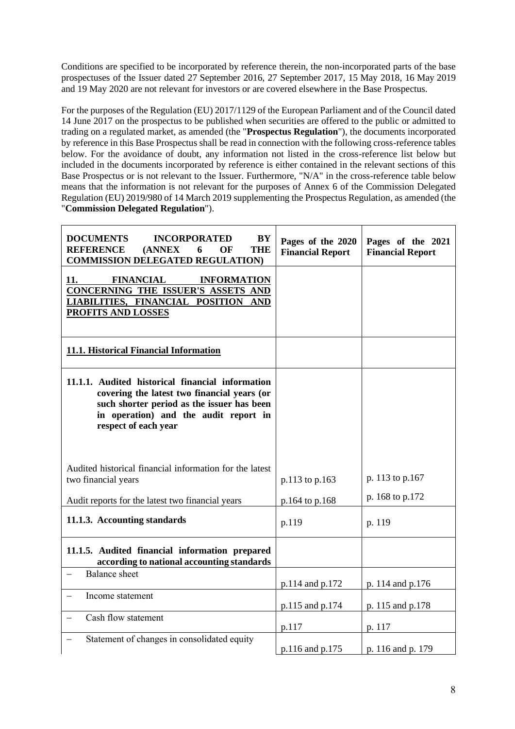Conditions are specified to be incorporated by reference therein, the non-incorporated parts of the base prospectuses of the Issuer dated 27 September 2016, 27 September 2017, 15 May 2018, 16 May 2019 and 19 May 2020 are not relevant for investors or are covered elsewhere in the Base Prospectus.

For the purposes of the Regulation (EU) 2017/1129 of the European Parliament and of the Council dated 14 June 2017 on the prospectus to be published when securities are offered to the public or admitted to trading on a regulated market, as amended (the "**Prospectus Regulation**"), the documents incorporated by reference in this Base Prospectus shall be read in connection with the following cross-reference tables below. For the avoidance of doubt, any information not listed in the cross-reference list below but included in the documents incorporated by reference is either contained in the relevant sections of this Base Prospectus or is not relevant to the Issuer. Furthermore, "N/A" in the cross-reference table below means that the information is not relevant for the purposes of Annex 6 of the Commission Delegated Regulation (EU) 2019/980 of 14 March 2019 supplementing the Prospectus Regulation, as amended (the "**Commission Delegated Regulation**").

| <b>DOCUMENTS</b><br>BY<br><b>INCORPORATED</b><br><b>THE</b><br><b>REFERENCE</b><br>(ANNEX)<br>6<br>OF<br><b>COMMISSION DELEGATED REGULATION)</b>                                                               | Pages of the 2020<br><b>Financial Report</b> | Pages of the 2021<br><b>Financial Report</b> |
|----------------------------------------------------------------------------------------------------------------------------------------------------------------------------------------------------------------|----------------------------------------------|----------------------------------------------|
| 11.<br><b>FINANCIAL</b><br><b>INFORMATION</b><br>CONCERNING THE ISSUER'S ASSETS AND<br>LIABILITIES, FINANCIAL POSITION AND<br>PROFITS AND LOSSES                                                               |                                              |                                              |
| 11.1. Historical Financial Information                                                                                                                                                                         |                                              |                                              |
| 11.1.1. Audited historical financial information<br>covering the latest two financial years (or<br>such shorter period as the issuer has been<br>in operation) and the audit report in<br>respect of each year |                                              |                                              |
| Audited historical financial information for the latest<br>two financial years<br>Audit reports for the latest two financial years                                                                             | p.113 to p.163<br>p.164 to p.168             | p. 113 to p.167<br>p. 168 to p.172           |
| 11.1.3. Accounting standards                                                                                                                                                                                   | p.119                                        | p. 119                                       |
| 11.1.5. Audited financial information prepared<br>according to national accounting standards                                                                                                                   |                                              |                                              |
| <b>Balance</b> sheet                                                                                                                                                                                           | p.114 and p.172                              | p. 114 and p.176                             |
| Income statement                                                                                                                                                                                               | p.115 and p.174                              | p. 115 and p.178                             |
| Cash flow statement                                                                                                                                                                                            | p.117                                        | p. 117                                       |
| Statement of changes in consolidated equity                                                                                                                                                                    | p.116 and p.175                              | p. 116 and p. 179                            |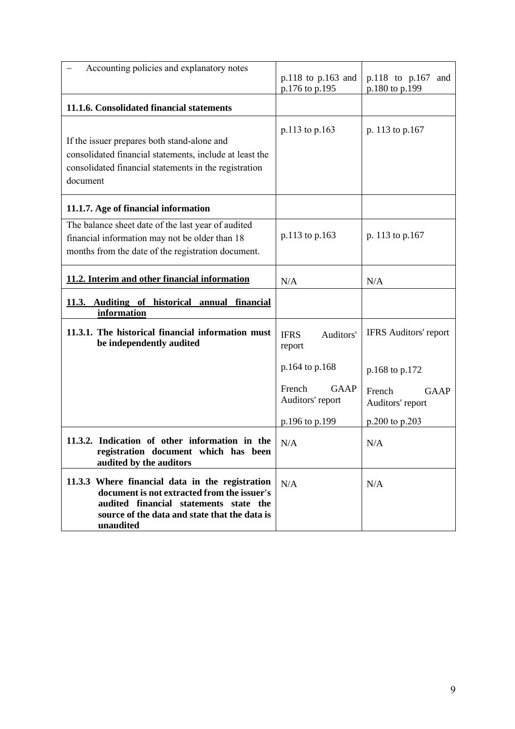| Accounting policies and explanatory notes                                                                                                                                                              | p.118 to p.163 and                        | p.118 to p.167<br>and              |
|--------------------------------------------------------------------------------------------------------------------------------------------------------------------------------------------------------|-------------------------------------------|------------------------------------|
| 11.1.6. Consolidated financial statements                                                                                                                                                              | p.176 to p.195                            | p.180 to p.199                     |
| If the issuer prepares both stand-alone and<br>consolidated financial statements, include at least the<br>consolidated financial statements in the registration<br>document                            | p.113 to p.163                            | p. 113 to p.167                    |
| 11.1.7. Age of financial information                                                                                                                                                                   |                                           |                                    |
| The balance sheet date of the last year of audited<br>financial information may not be older than 18<br>months from the date of the registration document.                                             | p.113 to p.163                            | p. 113 to p.167                    |
| 11.2. Interim and other financial information                                                                                                                                                          | N/A                                       | N/A                                |
| 11.3. Auditing of historical<br>financial<br>annual<br>information                                                                                                                                     |                                           |                                    |
| 11.3.1. The historical financial information must<br>be independently audited                                                                                                                          | <b>IFRS</b><br>Auditors'<br>report        | <b>IFRS</b> Auditors' report       |
|                                                                                                                                                                                                        | p.164 to p.168                            | p.168 to p.172                     |
|                                                                                                                                                                                                        | <b>GAAP</b><br>French<br>Auditors' report | GAAP<br>French<br>Auditors' report |
|                                                                                                                                                                                                        | p.196 to p.199                            | p.200 to p.203                     |
| 11.3.2. Indication of other information in the<br>registration document which has been<br>audited by the auditors                                                                                      | N/A                                       | N/A                                |
| 11.3.3 Where financial data in the registration<br>document is not extracted from the issuer's<br>audited financial statements state the<br>source of the data and state that the data is<br>unaudited | N/A                                       | N/A                                |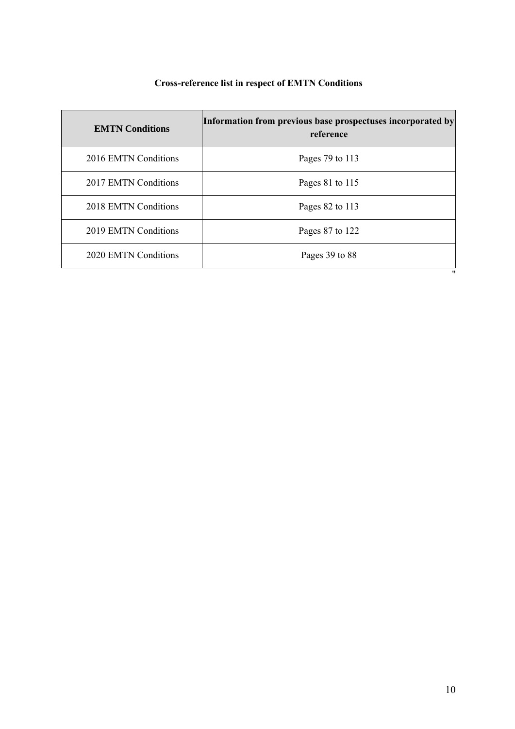# **Cross-reference list in respect of EMTN Conditions**

| <b>EMTN Conditions</b> | Information from previous base prospectuses incorporated by<br>reference |
|------------------------|--------------------------------------------------------------------------|
| 2016 EMTN Conditions   | Pages 79 to 113                                                          |
| 2017 EMTN Conditions   | Pages 81 to 115                                                          |
| 2018 EMTN Conditions   | Pages 82 to 113                                                          |
| 2019 EMTN Conditions   | Pages 87 to 122                                                          |
| 2020 EMTN Conditions   | Pages 39 to 88<br>"                                                      |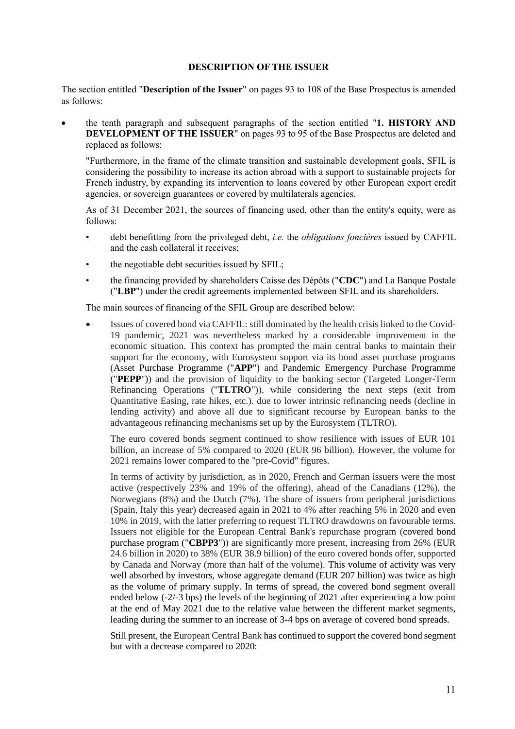#### **DESCRIPTION OF THE ISSUER**

<span id="page-10-0"></span>The section entitled "**Description of the Issuer**" on pages 93 to 108 of the Base Prospectus is amended as follows:

• the tenth paragraph and subsequent paragraphs of the section entitled "**1. HISTORY AND DEVELOPMENT OF THE ISSUER**" on pages 93 to 95 of the Base Prospectus are deleted and replaced as follows:

"Furthermore, in the frame of the climate transition and sustainable development goals, SFIL is considering the possibility to increase its action abroad with a support to sustainable projects for French industry, by expanding its intervention to loans covered by other European export credit agencies, or sovereign guarantees or covered by multilaterals agencies.

As of 31 December 2021, the sources of financing used, other than the entity's equity, were as follows:

- debt benefitting from the privileged debt, *i.e.* the *obligations foncières* issued by CAFFIL and the cash collateral it receives;
- the negotiable debt securities issued by SFIL;
- the financing provided by shareholders Caisse des Dépôts ("**CDC**") and La Banque Postale ("**LBP**") under the credit agreements implemented between SFIL and its shareholders.

The main sources of financing of the SFIL Group are described below:

• Issues of covered bond via CAFFIL: still dominated by the health crisis linked to the Covid-19 pandemic, 2021 was nevertheless marked by a considerable improvement in the economic situation. This context has prompted the main central banks to maintain their support for the economy, with Eurosystem support via its bond asset purchase programs (Asset Purchase Programme ("**APP**") and Pandemic Emergency Purchase Programme ("**PEPP**")) and the provision of liquidity to the banking sector (Targeted Longer-Term Refinancing Operations ("**TLTRO**")), while considering the next steps (exit from Quantitative Easing, rate hikes, etc.). due to lower intrinsic refinancing needs (decline in lending activity) and above all due to significant recourse by European banks to the advantageous refinancing mechanisms set up by the Eurosystem (TLTRO).

The euro covered bonds segment continued to show resilience with issues of EUR 101 billion, an increase of 5% compared to 2020 (EUR 96 billion). However, the volume for 2021 remains lower compared to the "pre-Covid" figures.

In terms of activity by jurisdiction, as in 2020, French and German issuers were the most active (respectively 23% and 19% of the offering), ahead of the Canadians (12%), the Norwegians (8%) and the Dutch (7%). The share of issuers from peripheral jurisdictions (Spain, Italy this year) decreased again in 2021 to 4% after reaching 5% in 2020 and even 10% in 2019, with the latter preferring to request TLTRO drawdowns on favourable terms. Issuers not eligible for the European Central Bank's repurchase program (covered bond purchase program ("**CBPP3**")) are significantly more present, increasing from 26% (EUR 24.6 billion in 2020) to 38% (EUR 38.9 billion) of the euro covered bonds offer, supported by Canada and Norway (more than half of the volume). This volume of activity was very well absorbed by investors, whose aggregate demand (EUR 207 billion) was twice as high as the volume of primary supply. In terms of spread, the covered bond segment overall ended below (-2/-3 bps) the levels of the beginning of 2021 after experiencing a low point at the end of May 2021 due to the relative value between the different market segments, leading during the summer to an increase of 3-4 bps on average of covered bond spreads.

Still present, the European Central Bank has continued to support the covered bond segment but with a decrease compared to 2020: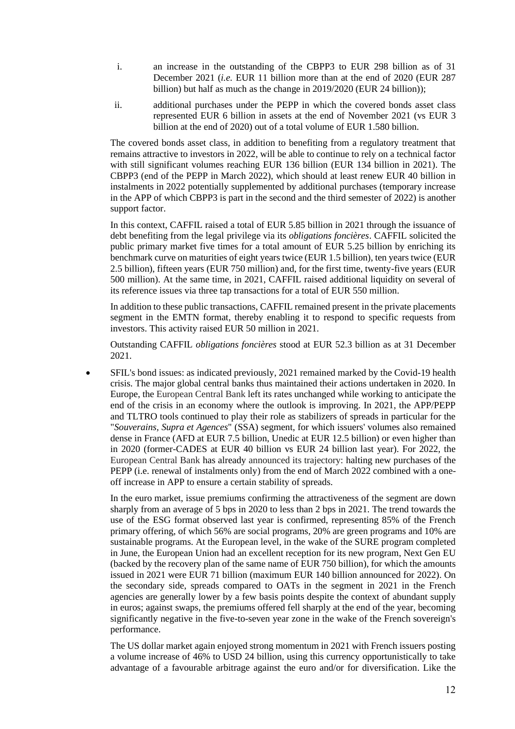- i. an increase in the outstanding of the CBPP3 to EUR 298 billion as of 31 December 2021 (*i.e.* EUR 11 billion more than at the end of 2020 (EUR 287 billion) but half as much as the change in 2019/2020 (EUR 24 billion));
- ii. additional purchases under the PEPP in which the covered bonds asset class represented EUR 6 billion in assets at the end of November 2021 (vs EUR 3 billion at the end of 2020) out of a total volume of EUR 1.580 billion.

The covered bonds asset class, in addition to benefiting from a regulatory treatment that remains attractive to investors in 2022, will be able to continue to rely on a technical factor with still significant volumes reaching EUR 136 billion (EUR 134 billion in 2021). The CBPP3 (end of the PEPP in March 2022), which should at least renew EUR 40 billion in instalments in 2022 potentially supplemented by additional purchases (temporary increase in the APP of which CBPP3 is part in the second and the third semester of 2022) is another support factor.

In this context, CAFFIL raised a total of EUR 5.85 billion in 2021 through the issuance of debt benefiting from the legal privilege via its *obligations foncières*. CAFFIL solicited the public primary market five times for a total amount of EUR 5.25 billion by enriching its benchmark curve on maturities of eight years twice (EUR 1.5 billion), ten years twice (EUR 2.5 billion), fifteen years (EUR 750 million) and, for the first time, twenty-five years (EUR 500 million). At the same time, in 2021, CAFFIL raised additional liquidity on several of its reference issues via three tap transactions for a total of EUR 550 million.

In addition to these public transactions, CAFFIL remained present in the private placements segment in the EMTN format, thereby enabling it to respond to specific requests from investors. This activity raised EUR 50 million in 2021.

Outstanding CAFFIL *obligations foncières* stood at EUR 52.3 billion as at 31 December 2021.

• SFIL's bond issues: as indicated previously, 2021 remained marked by the Covid-19 health crisis. The major global central banks thus maintained their actions undertaken in 2020. In Europe, the European Central Bank left its rates unchanged while working to anticipate the end of the crisis in an economy where the outlook is improving. In 2021, the APP/PEPP and TLTRO tools continued to play their role as stabilizers of spreads in particular for the "*Souverains, Supra et Agences*" (SSA) segment, for which issuers' volumes also remained dense in France (AFD at EUR 7.5 billion, Unedic at EUR 12.5 billion) or even higher than in 2020 (former-CADES at EUR 40 billion vs EUR 24 billion last year). For 2022, the European Central Bank has already announced its trajectory: halting new purchases of the PEPP (i.e. renewal of instalments only) from the end of March 2022 combined with a oneoff increase in APP to ensure a certain stability of spreads.

In the euro market, issue premiums confirming the attractiveness of the segment are down sharply from an average of 5 bps in 2020 to less than 2 bps in 2021. The trend towards the use of the ESG format observed last year is confirmed, representing 85% of the French primary offering, of which 56% are social programs, 20% are green programs and 10% are sustainable programs. At the European level, in the wake of the SURE program completed in June, the European Union had an excellent reception for its new program, Next Gen EU (backed by the recovery plan of the same name of EUR 750 billion), for which the amounts issued in 2021 were EUR 71 billion (maximum EUR 140 billion announced for 2022). On the secondary side, spreads compared to OATs in the segment in 2021 in the French agencies are generally lower by a few basis points despite the context of abundant supply in euros; against swaps, the premiums offered fell sharply at the end of the year, becoming significantly negative in the five-to-seven year zone in the wake of the French sovereign's performance.

The US dollar market again enjoyed strong momentum in 2021 with French issuers posting a volume increase of 46% to USD 24 billion, using this currency opportunistically to take advantage of a favourable arbitrage against the euro and/or for diversification. Like the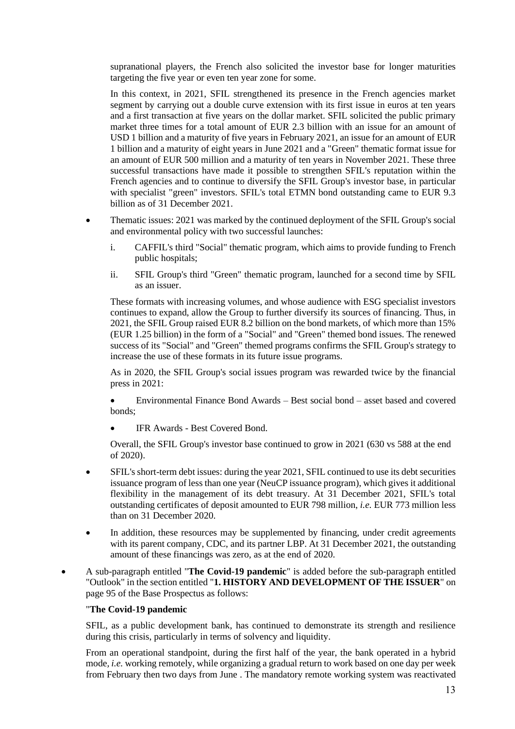supranational players, the French also solicited the investor base for longer maturities targeting the five year or even ten year zone for some.

In this context, in 2021, SFIL strengthened its presence in the French agencies market segment by carrying out a double curve extension with its first issue in euros at ten years and a first transaction at five years on the dollar market. SFIL solicited the public primary market three times for a total amount of EUR 2.3 billion with an issue for an amount of USD 1 billion and a maturity of five years in February 2021, an issue for an amount of EUR 1 billion and a maturity of eight years in June 2021 and a "Green" thematic format issue for an amount of EUR 500 million and a maturity of ten years in November 2021. These three successful transactions have made it possible to strengthen SFIL's reputation within the French agencies and to continue to diversify the SFIL Group's investor base, in particular with specialist "green" investors. SFIL's total ETMN bond outstanding came to EUR 9.3 billion as of 31 December 2021.

- Thematic issues: 2021 was marked by the continued deployment of the SFIL Group's social and environmental policy with two successful launches:
	- i. CAFFIL's third "Social" thematic program, which aims to provide funding to French public hospitals;
	- ii. SFIL Group's third "Green" thematic program, launched for a second time by SFIL as an issuer.

These formats with increasing volumes, and whose audience with ESG specialist investors continues to expand, allow the Group to further diversify its sources of financing. Thus, in 2021, the SFIL Group raised EUR 8.2 billion on the bond markets, of which more than 15% (EUR 1.25 billion) in the form of a "Social" and "Green" themed bond issues. The renewed success of its "Social" and "Green" themed programs confirms the SFIL Group's strategy to increase the use of these formats in its future issue programs.

As in 2020, the SFIL Group's social issues program was rewarded twice by the financial press in 2021:

• Environmental Finance Bond Awards – Best social bond – asset based and covered bonds;

• IFR Awards - Best Covered Bond.

Overall, the SFIL Group's investor base continued to grow in 2021 (630 vs 588 at the end of 2020).

- SFIL's short-term debt issues: during the year 2021, SFIL continued to use its debt securities issuance program of less than one year (NeuCP issuance program), which gives it additional flexibility in the management of its debt treasury. At 31 December 2021, SFIL's total outstanding certificates of deposit amounted to EUR 798 million, *i.e.* EUR 773 million less than on 31 December 2020.
- In addition, these resources may be supplemented by financing, under credit agreements with its parent company, CDC, and its partner LBP. At 31 December 2021, the outstanding amount of these financings was zero, as at the end of 2020.
- A sub-paragraph entitled "**The Covid-19 pandemic**" is added before the sub-paragraph entitled "Outlook" in the section entitled "**1. HISTORY AND DEVELOPMENT OF THE ISSUER**" on page 95 of the Base Prospectus as follows:

## "**The Covid-19 pandemic**

SFIL, as a public development bank, has continued to demonstrate its strength and resilience during this crisis, particularly in terms of solvency and liquidity.

From an operational standpoint, during the first half of the year, the bank operated in a hybrid mode*, i.e.* working remotely, while organizing a gradual return to work based on one day per week from February then two days from June . The mandatory remote working system was reactivated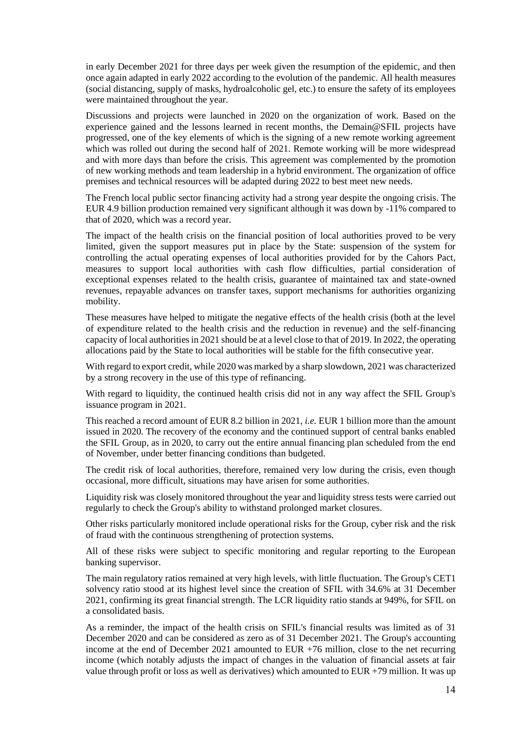in early December 2021 for three days per week given the resumption of the epidemic, and then once again adapted in early 2022 according to the evolution of the pandemic. All health measures (social distancing, supply of masks, hydroalcoholic gel, etc.) to ensure the safety of its employees were maintained throughout the year.

Discussions and projects were launched in 2020 on the organization of work. Based on the experience gained and the lessons learned in recent months, the Demain@SFIL projects have progressed, one of the key elements of which is the signing of a new remote working agreement which was rolled out during the second half of 2021. Remote working will be more widespread and with more days than before the crisis. This agreement was complemented by the promotion of new working methods and team leadership in a hybrid environment. The organization of office premises and technical resources will be adapted during 2022 to best meet new needs.

The French local public sector financing activity had a strong year despite the ongoing crisis. The EUR 4.9 billion production remained very significant although it was down by -11% compared to that of 2020, which was a record year.

The impact of the health crisis on the financial position of local authorities proved to be very limited, given the support measures put in place by the State: suspension of the system for controlling the actual operating expenses of local authorities provided for by the Cahors Pact, measures to support local authorities with cash flow difficulties, partial consideration of exceptional expenses related to the health crisis, guarantee of maintained tax and state-owned revenues, repayable advances on transfer taxes, support mechanisms for authorities organizing mobility.

These measures have helped to mitigate the negative effects of the health crisis (both at the level of expenditure related to the health crisis and the reduction in revenue) and the self-financing capacity of local authorities in 2021 should be at a level close to that of 2019. In 2022, the operating allocations paid by the State to local authorities will be stable for the fifth consecutive year.

With regard to export credit, while 2020 was marked by a sharp slowdown, 2021 was characterized by a strong recovery in the use of this type of refinancing.

With regard to liquidity, the continued health crisis did not in any way affect the SFIL Group's issuance program in 2021.

This reached a record amount of EUR 8.2 billion in 2021, *i.e.* EUR 1 billion more than the amount issued in 2020. The recovery of the economy and the continued support of central banks enabled the SFIL Group, as in 2020, to carry out the entire annual financing plan scheduled from the end of November, under better financing conditions than budgeted.

The credit risk of local authorities, therefore, remained very low during the crisis, even though occasional, more difficult, situations may have arisen for some authorities.

Liquidity risk was closely monitored throughout the year and liquidity stress tests were carried out regularly to check the Group's ability to withstand prolonged market closures.

Other risks particularly monitored include operational risks for the Group, cyber risk and the risk of fraud with the continuous strengthening of protection systems.

All of these risks were subject to specific monitoring and regular reporting to the European banking supervisor.

The main regulatory ratios remained at very high levels, with little fluctuation. The Group's CET1 solvency ratio stood at its highest level since the creation of SFIL with 34.6% at 31 December 2021, confirming its great financial strength. The LCR liquidity ratio stands at 949%, for SFIL on a consolidated basis.

As a reminder, the impact of the health crisis on SFIL's financial results was limited as of 31 December 2020 and can be considered as zero as of 31 December 2021. The Group's accounting income at the end of December 2021 amounted to EUR +76 million, close to the net recurring income (which notably adjusts the impact of changes in the valuation of financial assets at fair value through profit or loss as well as derivatives) which amounted to EUR +79 million. It was up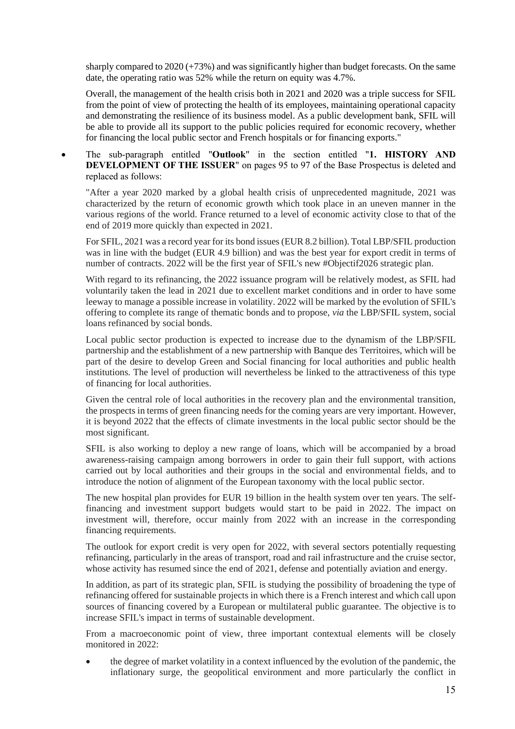sharply compared to 2020 (+73%) and was significantly higher than budget forecasts. On the same date, the operating ratio was 52% while the return on equity was 4.7%.

Overall, the management of the health crisis both in 2021 and 2020 was a triple success for SFIL from the point of view of protecting the health of its employees, maintaining operational capacity and demonstrating the resilience of its business model. As a public development bank, SFIL will be able to provide all its support to the public policies required for economic recovery, whether for financing the local public sector and French hospitals or for financing exports."

• The sub-paragraph entitled "**Outlook**" in the section entitled "**1. HISTORY AND DEVELOPMENT OF THE ISSUER**" on pages 95 to 97 of the Base Prospectus is deleted and replaced as follows:

"After a year 2020 marked by a global health crisis of unprecedented magnitude, 2021 was characterized by the return of economic growth which took place in an uneven manner in the various regions of the world. France returned to a level of economic activity close to that of the end of 2019 more quickly than expected in 2021.

For SFIL, 2021 was a record year for its bond issues (EUR 8.2 billion). Total LBP/SFIL production was in line with the budget (EUR 4.9 billion) and was the best year for export credit in terms of number of contracts. 2022 will be the first year of SFIL's new #Objectif2026 strategic plan.

With regard to its refinancing, the 2022 issuance program will be relatively modest, as SFIL had voluntarily taken the lead in 2021 due to excellent market conditions and in order to have some leeway to manage a possible increase in volatility. 2022 will be marked by the evolution of SFIL's offering to complete its range of thematic bonds and to propose, *via* the LBP/SFIL system, social loans refinanced by social bonds.

Local public sector production is expected to increase due to the dynamism of the LBP/SFIL partnership and the establishment of a new partnership with Banque des Territoires, which will be part of the desire to develop Green and Social financing for local authorities and public health institutions. The level of production will nevertheless be linked to the attractiveness of this type of financing for local authorities.

Given the central role of local authorities in the recovery plan and the environmental transition, the prospects in terms of green financing needs for the coming years are very important. However, it is beyond 2022 that the effects of climate investments in the local public sector should be the most significant.

SFIL is also working to deploy a new range of loans, which will be accompanied by a broad awareness-raising campaign among borrowers in order to gain their full support, with actions carried out by local authorities and their groups in the social and environmental fields, and to introduce the notion of alignment of the European taxonomy with the local public sector.

The new hospital plan provides for EUR 19 billion in the health system over ten years. The selffinancing and investment support budgets would start to be paid in 2022. The impact on investment will, therefore, occur mainly from 2022 with an increase in the corresponding financing requirements.

The outlook for export credit is very open for 2022, with several sectors potentially requesting refinancing, particularly in the areas of transport, road and rail infrastructure and the cruise sector, whose activity has resumed since the end of 2021, defense and potentially aviation and energy.

In addition, as part of its strategic plan, SFIL is studying the possibility of broadening the type of refinancing offered for sustainable projects in which there is a French interest and which call upon sources of financing covered by a European or multilateral public guarantee. The objective is to increase SFIL's impact in terms of sustainable development.

From a macroeconomic point of view, three important contextual elements will be closely monitored in 2022:

• the degree of market volatility in a context influenced by the evolution of the pandemic, the inflationary surge, the geopolitical environment and more particularly the conflict in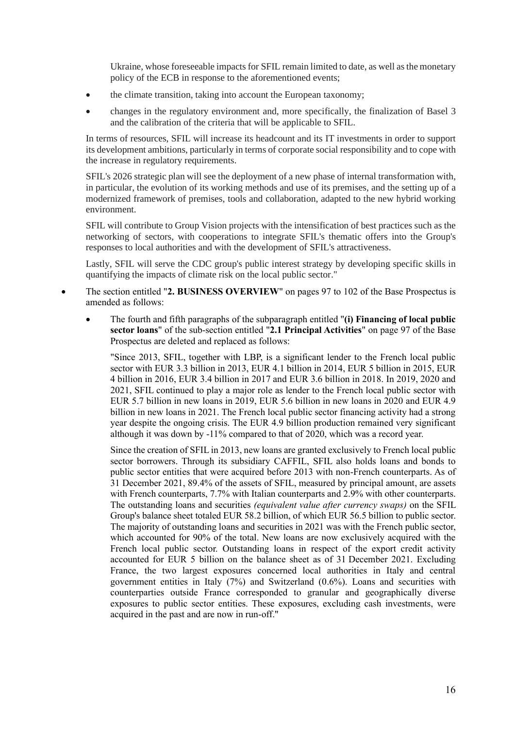Ukraine, whose foreseeable impacts for SFIL remain limited to date, as well as the monetary policy of the ECB in response to the aforementioned events;

- the climate transition, taking into account the European taxonomy;
- changes in the regulatory environment and, more specifically, the finalization of Basel 3 and the calibration of the criteria that will be applicable to SFIL.

In terms of resources, SFIL will increase its headcount and its IT investments in order to support its development ambitions, particularly in terms of corporate social responsibility and to cope with the increase in regulatory requirements.

SFIL's 2026 strategic plan will see the deployment of a new phase of internal transformation with, in particular, the evolution of its working methods and use of its premises, and the setting up of a modernized framework of premises, tools and collaboration, adapted to the new hybrid working environment.

SFIL will contribute to Group Vision projects with the intensification of best practices such as the networking of sectors, with cooperations to integrate SFIL's thematic offers into the Group's responses to local authorities and with the development of SFIL's attractiveness.

Lastly, SFIL will serve the CDC group's public interest strategy by developing specific skills in quantifying the impacts of climate risk on the local public sector."

- The section entitled "**2. BUSINESS OVERVIEW**" on pages 97 to 102 of the Base Prospectus is amended as follows:
	- The fourth and fifth paragraphs of the subparagraph entitled "**(i) Financing of local public sector loans**" of the sub-section entitled "**2.1 Principal Activities**" on page 97 of the Base Prospectus are deleted and replaced as follows:

"Since 2013, SFIL, together with LBP, is a significant lender to the French local public sector with EUR 3.3 billion in 2013, EUR 4.1 billion in 2014, EUR 5 billion in 2015, EUR 4 billion in 2016, EUR 3.4 billion in 2017 and EUR 3.6 billion in 2018. In 2019, 2020 and 2021, SFIL continued to play a major role as lender to the French local public sector with EUR 5.7 billion in new loans in 2019, EUR 5.6 billion in new loans in 2020 and EUR 4.9 billion in new loans in 2021. The French local public sector financing activity had a strong year despite the ongoing crisis. The EUR 4.9 billion production remained very significant although it was down by -11% compared to that of 2020, which was a record year.

Since the creation of SFIL in 2013, new loans are granted exclusively to French local public sector borrowers. Through its subsidiary CAFFIL, SFIL also holds loans and bonds to public sector entities that were acquired before 2013 with non-French counterparts. As of 31 December 2021, 89.4% of the assets of SFIL, measured by principal amount, are assets with French counterparts, 7.7% with Italian counterparts and 2.9% with other counterparts. The outstanding loans and securities *(equivalent value after currency swaps)* on the SFIL Group's balance sheet totaled EUR 58.2 billion, of which EUR 56.5 billion to public sector. The majority of outstanding loans and securities in 2021 was with the French public sector, which accounted for 90% of the total. New loans are now exclusively acquired with the French local public sector. Outstanding loans in respect of the export credit activity accounted for EUR 5 billion on the balance sheet as of 31 December 2021. Excluding France, the two largest exposures concerned local authorities in Italy and central government entities in Italy (7%) and Switzerland (0.6%). Loans and securities with counterparties outside France corresponded to granular and geographically diverse exposures to public sector entities. These exposures, excluding cash investments, were acquired in the past and are now in run-off."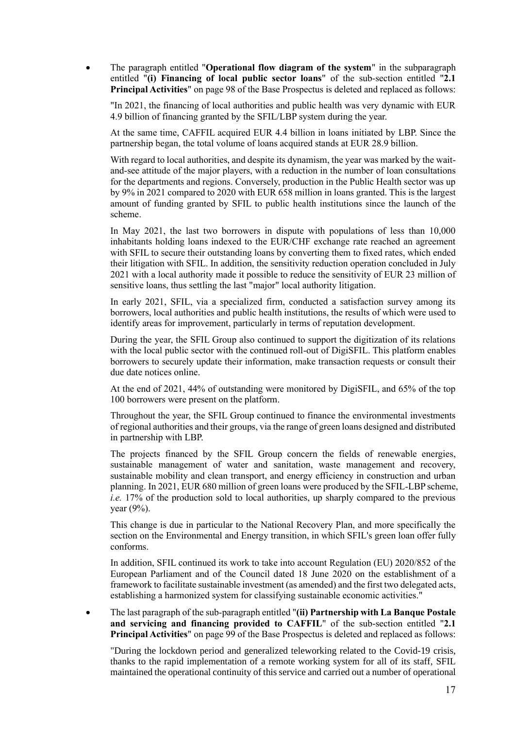• The paragraph entitled "**Operational flow diagram of the system**" in the subparagraph entitled "**(i) Financing of local public sector loans**" of the sub-section entitled "**2.1 Principal Activities**" on page 98 of the Base Prospectus is deleted and replaced as follows:

"In 2021, the financing of local authorities and public health was very dynamic with EUR 4.9 billion of financing granted by the SFIL/LBP system during the year.

At the same time, CAFFIL acquired EUR 4.4 billion in loans initiated by LBP. Since the partnership began, the total volume of loans acquired stands at EUR 28.9 billion.

With regard to local authorities, and despite its dynamism, the year was marked by the waitand-see attitude of the major players, with a reduction in the number of loan consultations for the departments and regions. Conversely, production in the Public Health sector was up by 9% in 2021 compared to 2020 with EUR 658 million in loans granted. This is the largest amount of funding granted by SFIL to public health institutions since the launch of the scheme.

In May 2021, the last two borrowers in dispute with populations of less than 10,000 inhabitants holding loans indexed to the EUR/CHF exchange rate reached an agreement with SFIL to secure their outstanding loans by converting them to fixed rates, which ended their litigation with SFIL. In addition, the sensitivity reduction operation concluded in July 2021 with a local authority made it possible to reduce the sensitivity of EUR 23 million of sensitive loans, thus settling the last "major" local authority litigation.

In early 2021, SFIL, via a specialized firm, conducted a satisfaction survey among its borrowers, local authorities and public health institutions, the results of which were used to identify areas for improvement, particularly in terms of reputation development.

During the year, the SFIL Group also continued to support the digitization of its relations with the local public sector with the continued roll-out of DigiSFIL. This platform enables borrowers to securely update their information, make transaction requests or consult their due date notices online.

At the end of 2021, 44% of outstanding were monitored by DigiSFIL, and 65% of the top 100 borrowers were present on the platform.

Throughout the year, the SFIL Group continued to finance the environmental investments of regional authorities and their groups, via the range of green loans designed and distributed in partnership with LBP.

The projects financed by the SFIL Group concern the fields of renewable energies, sustainable management of water and sanitation, waste management and recovery, sustainable mobility and clean transport, and energy efficiency in construction and urban planning. In 2021, EUR 680 million of green loans were produced by the SFIL-LBP scheme, *i.e.* 17% of the production sold to local authorities, up sharply compared to the previous year (9%).

This change is due in particular to the National Recovery Plan, and more specifically the section on the Environmental and Energy transition, in which SFIL's green loan offer fully conforms.

In addition, SFIL continued its work to take into account Regulation (EU) 2020/852 of the European Parliament and of the Council dated 18 June 2020 on the establishment of a framework to facilitate sustainable investment (as amended) and the first two delegated acts, establishing a harmonized system for classifying sustainable economic activities."

• The last paragraph of the sub-paragraph entitled "**(ii) Partnership with La Banque Postale and servicing and financing provided to CAFFIL**" of the sub-section entitled "**2.1 Principal Activities**" on page 99 of the Base Prospectus is deleted and replaced as follows:

"During the lockdown period and generalized teleworking related to the Covid-19 crisis, thanks to the rapid implementation of a remote working system for all of its staff, SFIL maintained the operational continuity of this service and carried out a number of operational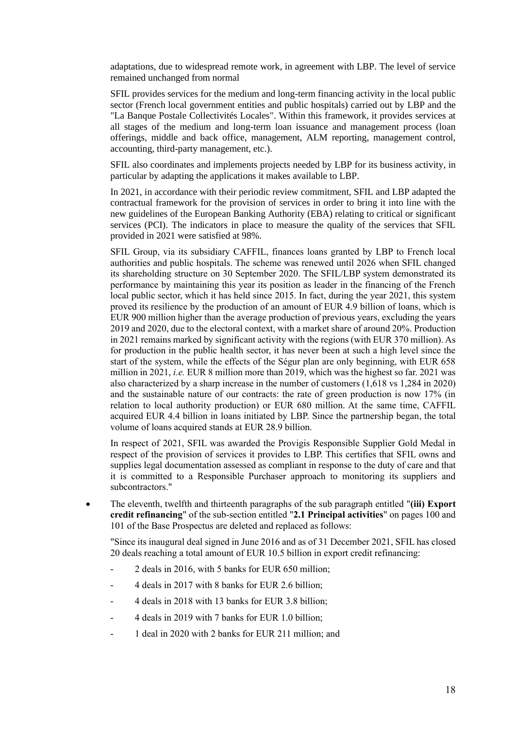adaptations, due to widespread remote work, in agreement with LBP. The level of service remained unchanged from normal

SFIL provides services for the medium and long-term financing activity in the local public sector (French local government entities and public hospitals) carried out by LBP and the "La Banque Postale Collectivités Locales". Within this framework, it provides services at all stages of the medium and long-term loan issuance and management process (loan offerings, middle and back office, management, ALM reporting, management control, accounting, third-party management, etc.).

SFIL also coordinates and implements projects needed by LBP for its business activity, in particular by adapting the applications it makes available to LBP.

In 2021, in accordance with their periodic review commitment, SFIL and LBP adapted the contractual framework for the provision of services in order to bring it into line with the new guidelines of the European Banking Authority (EBA) relating to critical or significant services (PCI). The indicators in place to measure the quality of the services that SFIL provided in 2021 were satisfied at 98%.

SFIL Group, via its subsidiary CAFFIL, finances loans granted by LBP to French local authorities and public hospitals. The scheme was renewed until 2026 when SFIL changed its shareholding structure on 30 September 2020. The SFIL/LBP system demonstrated its performance by maintaining this year its position as leader in the financing of the French local public sector, which it has held since 2015. In fact, during the year 2021, this system proved its resilience by the production of an amount of EUR 4.9 billion of loans, which is EUR 900 million higher than the average production of previous years, excluding the years 2019 and 2020, due to the electoral context, with a market share of around 20%. Production in 2021 remains marked by significant activity with the regions (with EUR 370 million). As for production in the public health sector, it has never been at such a high level since the start of the system, while the effects of the Ségur plan are only beginning, with EUR 658 million in 2021, *i.e.* EUR 8 million more than 2019, which was the highest so far. 2021 was also characterized by a sharp increase in the number of customers (1,618 vs 1,284 in 2020) and the sustainable nature of our contracts: the rate of green production is now 17% (in relation to local authority production) or EUR 680 million. At the same time, CAFFIL acquired EUR 4.4 billion in loans initiated by LBP. Since the partnership began, the total volume of loans acquired stands at EUR 28.9 billion.

In respect of 2021, SFIL was awarded the Provigis Responsible Supplier Gold Medal in respect of the provision of services it provides to LBP. This certifies that SFIL owns and supplies legal documentation assessed as compliant in response to the duty of care and that it is committed to a Responsible Purchaser approach to monitoring its suppliers and subcontractors."

• The eleventh, twelfth and thirteenth paragraphs of the sub paragraph entitled "**(iii) Export credit refinancing**" of the sub-section entitled "**2.1 Principal activities**" on pages 100 and 101 of the Base Prospectus are deleted and replaced as follows:

"Since its inaugural deal signed in June 2016 and as of 31 December 2021, SFIL has closed 20 deals reaching a total amount of EUR 10.5 billion in export credit refinancing:

- 2 deals in 2016, with 5 banks for EUR 650 million;
- 4 deals in 2017 with 8 banks for EUR 2.6 billion;
- 4 deals in 2018 with 13 banks for EUR 3.8 billion;
- 4 deals in 2019 with 7 banks for EUR 1.0 billion;
- 1 deal in 2020 with 2 banks for EUR 211 million; and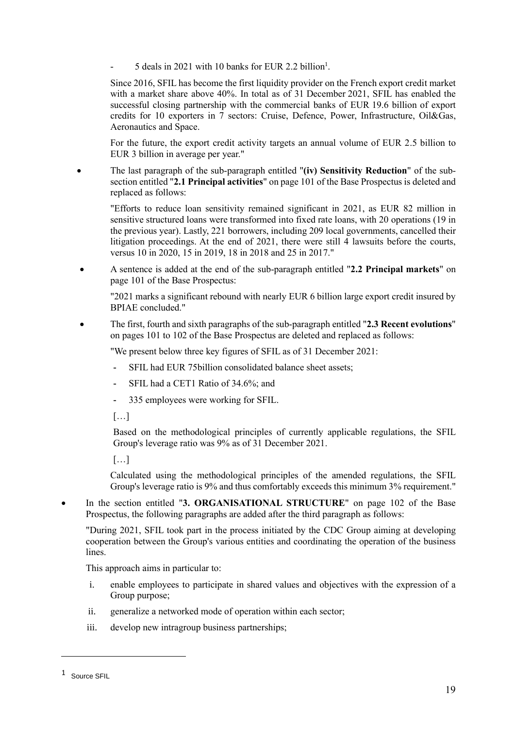- 5 deals in 2021 with 10 banks for EUR 2.2 billion<sup>1</sup>.

Since 2016, SFIL has become the first liquidity provider on the French export credit market with a market share above 40%. In total as of 31 December 2021, SFIL has enabled the successful closing partnership with the commercial banks of EUR 19.6 billion of export credits for 10 exporters in 7 sectors: Cruise, Defence, Power, Infrastructure, Oil&Gas, Aeronautics and Space.

For the future, the export credit activity targets an annual volume of EUR 2.5 billion to EUR 3 billion in average per year."

• The last paragraph of the sub-paragraph entitled "**(iv) Sensitivity Reduction**" of the subsection entitled "**2.1 Principal activities**" on page 101 of the Base Prospectus is deleted and replaced as follows:

"Efforts to reduce loan sensitivity remained significant in 2021, as EUR 82 million in sensitive structured loans were transformed into fixed rate loans, with 20 operations (19 in the previous year). Lastly, 221 borrowers, including 209 local governments, cancelled their litigation proceedings. At the end of 2021, there were still 4 lawsuits before the courts, versus 10 in 2020, 15 in 2019, 18 in 2018 and 25 in 2017."

• A sentence is added at the end of the sub-paragraph entitled "**2.2 Principal markets**" on page 101 of the Base Prospectus:

"2021 marks a significant rebound with nearly EUR 6 billion large export credit insured by BPIAE concluded."

• The first, fourth and sixth paragraphs of the sub-paragraph entitled "**2.3 Recent evolutions**" on pages 101 to 102 of the Base Prospectus are deleted and replaced as follows:

"We present below three key figures of SFIL as of 31 December 2021:

- **-** SFIL had EUR 75billion consolidated balance sheet assets;
- **-** SFIL had a CET1 Ratio of 34.6%; and
- **-** 335 employees were working for SFIL.

 $\lceil$ ...]

Based on the methodological principles of currently applicable regulations, the SFIL Group's leverage ratio was 9% as of 31 December 2021.

[…]

Calculated using the methodological principles of the amended regulations, the SFIL Group's leverage ratio is 9% and thus comfortably exceeds this minimum 3% requirement."

• In the section entitled "**3. ORGANISATIONAL STRUCTURE**" on page 102 of the Base Prospectus, the following paragraphs are added after the third paragraph as follows:

"During 2021, SFIL took part in the process initiated by the CDC Group aiming at developing cooperation between the Group's various entities and coordinating the operation of the business lines.

This approach aims in particular to:

- i. enable employees to participate in shared values and objectives with the expression of a Group purpose;
- ii. generalize a networked mode of operation within each sector;
- iii. develop new intragroup business partnerships;

<sup>1</sup> Source SFIL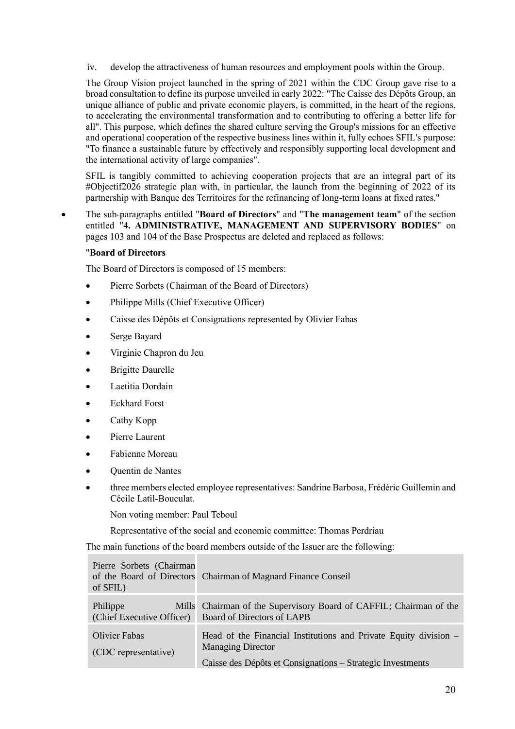iv. develop the attractiveness of human resources and employment pools within the Group.

The Group Vision project launched in the spring of 2021 within the CDC Group gave rise to a broad consultation to define its purpose unveiled in early 2022: "The Caisse des Dépôts Group, an unique alliance of public and private economic players, is committed, in the heart of the regions, to accelerating the environmental transformation and to contributing to offering a better life for all". This purpose, which defines the shared culture serving the Group's missions for an effective and operational cooperation of the respective business lines within it, fully echoes SFIL's purpose: "To finance a sustainable future by effectively and responsibly supporting local development and the international activity of large companies".

SFIL is tangibly committed to achieving cooperation projects that are an integral part of its #Objectif2026 strategic plan with, in particular, the launch from the beginning of 2022 of its partnership with Banque des Territoires for the refinancing of long-term loans at fixed rates."

• The sub-paragraphs entitled "**Board of Directors**" and "**The management team**" of the section entitled "**4. ADMINISTRATIVE, MANAGEMENT AND SUPERVISORY BODIES**" on pages 103 and 104 of the Base Prospectus are deleted and replaced as follows:

#### "**Board of Directors**

The Board of Directors is composed of 15 members:

- Pierre Sorbets (Chairman of the Board of Directors)
- Philippe Mills (Chief Executive Officer)
- Caisse des Dépôts et Consignations represented by Olivier Fabas
- Serge Bayard
- Virginie Chapron du Jeu
- **Brigitte Daurelle**
- Laetitia Dordain
- Eckhard Forst
- Cathy Kopp
- Pierre Laurent
- Fabienne Moreau
- Quentin de Nantes
- three members elected employee representatives: Sandrine Barbosa, Frédéric Guillemin and Cécile Latil-Bouculat.

Non voting member: Paul Teboul

Representative of the social and economic committee: Thomas Perdriau

The main functions of the board members outside of the Issuer are the following:

| Pierre Sorbets (Chairman<br>of SFIL)         | of the Board of Directors Chairman of Magnard Finance Conseil                                                                                                |
|----------------------------------------------|--------------------------------------------------------------------------------------------------------------------------------------------------------------|
| Philippe<br>(Chief Executive Officer)        | Mills Chairman of the Supervisory Board of CAFFIL; Chairman of the<br>Board of Directors of EAPB                                                             |
| <b>Olivier Fabas</b><br>(CDC representative) | Head of the Financial Institutions and Private Equity division $-$<br><b>Managing Director</b><br>Caisse des Dépôts et Consignations - Strategic Investments |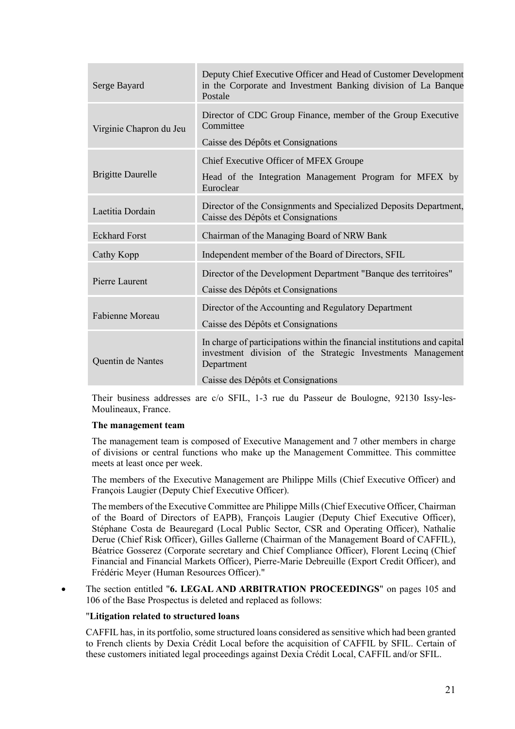| Serge Bayard             | Deputy Chief Executive Officer and Head of Customer Development<br>in the Corporate and Investment Banking division of La Banque<br>Postale            |
|--------------------------|--------------------------------------------------------------------------------------------------------------------------------------------------------|
| Virginie Chapron du Jeu  | Director of CDC Group Finance, member of the Group Executive<br>Committee                                                                              |
|                          | Caisse des Dépôts et Consignations                                                                                                                     |
|                          | Chief Executive Officer of MFEX Groupe                                                                                                                 |
| <b>Brigitte Daurelle</b> | Head of the Integration Management Program for MFEX by<br>Euroclear                                                                                    |
| Laetitia Dordain         | Director of the Consignments and Specialized Deposits Department,<br>Caisse des Dépôts et Consignations                                                |
| <b>Eckhard Forst</b>     | Chairman of the Managing Board of NRW Bank                                                                                                             |
|                          |                                                                                                                                                        |
| Cathy Kopp               | Independent member of the Board of Directors, SFIL                                                                                                     |
| Pierre Laurent           | Director of the Development Department "Banque des territoires"<br>Caisse des Dépôts et Consignations                                                  |
|                          | Director of the Accounting and Regulatory Department                                                                                                   |
| Fabienne Moreau          | Caisse des Dépôts et Consignations                                                                                                                     |
| Quentin de Nantes        | In charge of participations within the financial institutions and capital<br>investment division of the Strategic Investments Management<br>Department |

Their business addresses are c/o SFIL, 1-3 rue du Passeur de Boulogne, 92130 Issy-les-Moulineaux, France.

#### **The management team**

The management team is composed of Executive Management and 7 other members in charge of divisions or central functions who make up the Management Committee. This committee meets at least once per week.

The members of the Executive Management are Philippe Mills (Chief Executive Officer) and François Laugier (Deputy Chief Executive Officer).

The members of the Executive Committee are Philippe Mills (Chief Executive Officer, Chairman of the Board of Directors of EAPB), François Laugier (Deputy Chief Executive Officer), Stéphane Costa de Beauregard (Local Public Sector, CSR and Operating Officer), Nathalie Derue (Chief Risk Officer), Gilles Gallerne (Chairman of the Management Board of CAFFIL), Béatrice Gosserez (Corporate secretary and Chief Compliance Officer), Florent Lecinq (Chief Financial and Financial Markets Officer), Pierre-Marie Debreuille (Export Credit Officer), and Frédéric Meyer (Human Resources Officer)."

• The section entitled "**6. LEGAL AND ARBITRATION PROCEEDINGS**" on pages 105 and 106 of the Base Prospectus is deleted and replaced as follows:

#### "**Litigation related to structured loans**

CAFFIL has, in its portfolio, some structured loans considered as sensitive which had been granted to French clients by Dexia Crédit Local before the acquisition of CAFFIL by SFIL. Certain of these customers initiated legal proceedings against Dexia Crédit Local, CAFFIL and/or SFIL.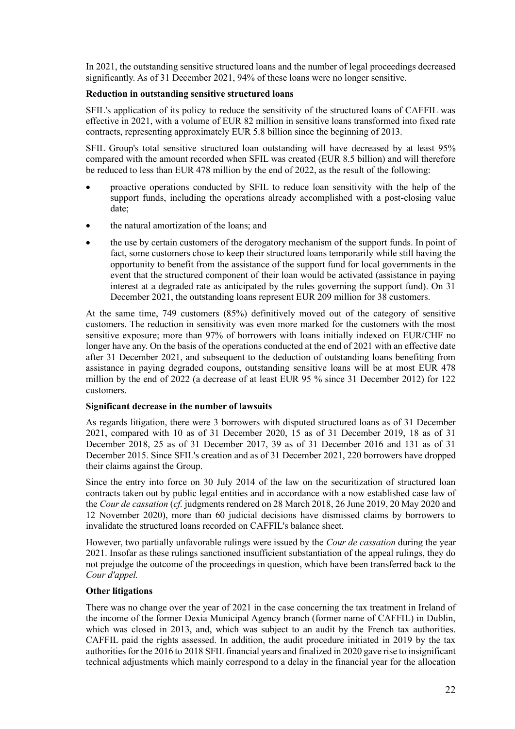In 2021, the outstanding sensitive structured loans and the number of legal proceedings decreased significantly. As of 31 December 2021, 94% of these loans were no longer sensitive.

## **Reduction in outstanding sensitive structured loans**

SFIL's application of its policy to reduce the sensitivity of the structured loans of CAFFIL was effective in 2021, with a volume of EUR 82 million in sensitive loans transformed into fixed rate contracts, representing approximately EUR 5.8 billion since the beginning of 2013.

SFIL Group's total sensitive structured loan outstanding will have decreased by at least 95% compared with the amount recorded when SFIL was created (EUR 8.5 billion) and will therefore be reduced to less than EUR 478 million by the end of 2022, as the result of the following:

- proactive operations conducted by SFIL to reduce loan sensitivity with the help of the support funds, including the operations already accomplished with a post-closing value date;
- the natural amortization of the loans; and
- the use by certain customers of the derogatory mechanism of the support funds. In point of fact, some customers chose to keep their structured loans temporarily while still having the opportunity to benefit from the assistance of the support fund for local governments in the event that the structured component of their loan would be activated (assistance in paying interest at a degraded rate as anticipated by the rules governing the support fund). On 31 December 2021, the outstanding loans represent EUR 209 million for 38 customers.

At the same time, 749 customers (85%) definitively moved out of the category of sensitive customers. The reduction in sensitivity was even more marked for the customers with the most sensitive exposure; more than 97% of borrowers with loans initially indexed on EUR/CHF no longer have any. On the basis of the operations conducted at the end of 2021 with an effective date after 31 December 2021, and subsequent to the deduction of outstanding loans benefiting from assistance in paying degraded coupons, outstanding sensitive loans will be at most EUR 478 million by the end of 2022 (a decrease of at least EUR 95 % since 31 December 2012) for 122 customers.

#### **Significant decrease in the number of lawsuits**

As regards litigation, there were 3 borrowers with disputed structured loans as of 31 December 2021, compared with 10 as of 31 December 2020, 15 as of 31 December 2019, 18 as of 31 December 2018, 25 as of 31 December 2017, 39 as of 31 December 2016 and 131 as of 31 December 2015. Since SFIL's creation and as of 31 December 2021, 220 borrowers have dropped their claims against the Group.

Since the entry into force on 30 July 2014 of the law on the securitization of structured loan contracts taken out by public legal entities and in accordance with a now established case law of the *Cour de cassation* (*cf.* judgments rendered on 28 March 2018, 26 June 2019, 20 May 2020 and 12 November 2020), more than 60 judicial decisions have dismissed claims by borrowers to invalidate the structured loans recorded on CAFFIL's balance sheet.

However, two partially unfavorable rulings were issued by the *Cour de cassation* during the year 2021. Insofar as these rulings sanctioned insufficient substantiation of the appeal rulings, they do not prejudge the outcome of the proceedings in question, which have been transferred back to the *Cour d'appel.*

#### **Other litigations**

There was no change over the year of 2021 in the case concerning the tax treatment in Ireland of the income of the former Dexia Municipal Agency branch (former name of CAFFIL) in Dublin, which was closed in 2013, and, which was subject to an audit by the French tax authorities. CAFFIL paid the rights assessed. In addition, the audit procedure initiated in 2019 by the tax authorities for the 2016 to 2018 SFIL financial years and finalized in 2020 gave rise to insignificant technical adjustments which mainly correspond to a delay in the financial year for the allocation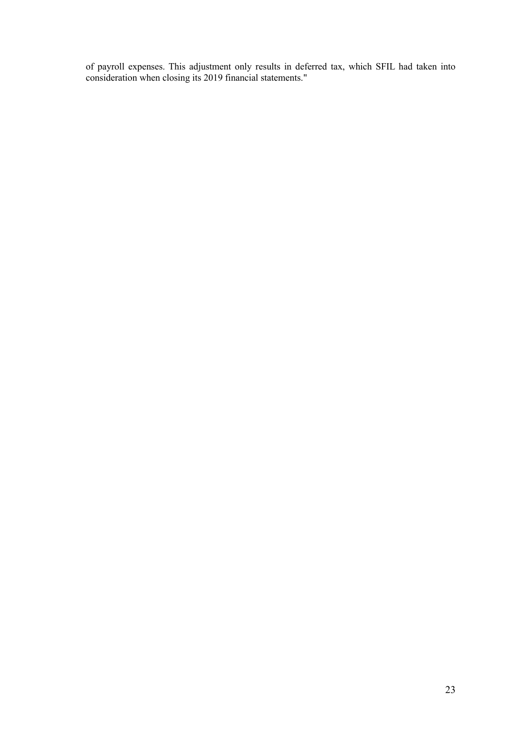of payroll expenses. This adjustment only results in deferred tax, which SFIL had taken into consideration when closing its 2019 financial statements."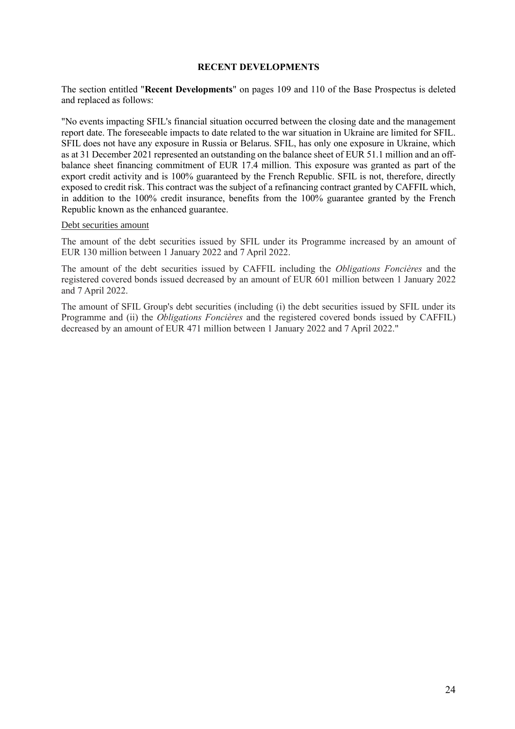#### **RECENT DEVELOPMENTS**

<span id="page-23-0"></span>The section entitled "**Recent Developments**" on pages 109 and 110 of the Base Prospectus is deleted and replaced as follows:

"No events impacting SFIL's financial situation occurred between the closing date and the management report date. The foreseeable impacts to date related to the war situation in Ukraine are limited for SFIL. SFIL does not have any exposure in Russia or Belarus. SFIL, has only one exposure in Ukraine, which as at 31 December 2021 represented an outstanding on the balance sheet of EUR 51.1 million and an offbalance sheet financing commitment of EUR 17.4 million. This exposure was granted as part of the export credit activity and is 100% guaranteed by the French Republic. SFIL is not, therefore, directly exposed to credit risk. This contract was the subject of a refinancing contract granted by CAFFIL which, in addition to the 100% credit insurance, benefits from the 100% guarantee granted by the French Republic known as the enhanced guarantee.

#### Debt securities amount

The amount of the debt securities issued by SFIL under its Programme increased by an amount of EUR 130 million between 1 January 2022 and 7 April 2022.

The amount of the debt securities issued by CAFFIL including the *Obligations Foncières* and the registered covered bonds issued decreased by an amount of EUR 601 million between 1 January 2022 and 7 April 2022.

The amount of SFIL Group's debt securities (including (i) the debt securities issued by SFIL under its Programme and (ii) the *Obligations Foncières* and the registered covered bonds issued by CAFFIL) decreased by an amount of EUR 471 million between 1 January 2022 and 7 April 2022."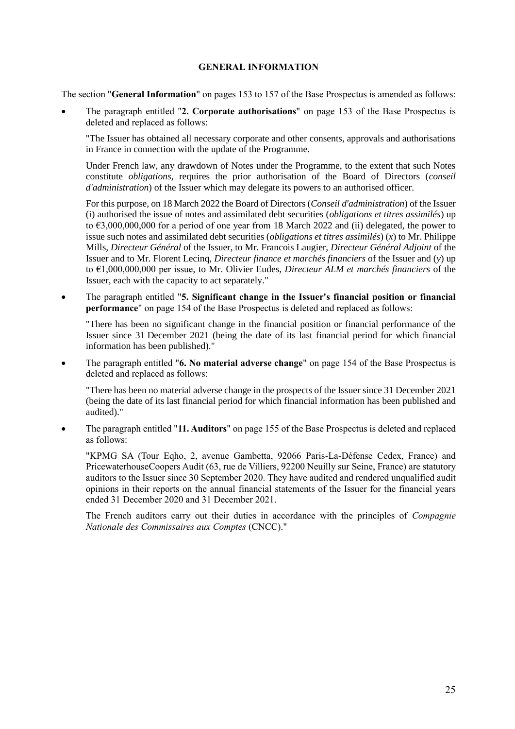#### **GENERAL INFORMATION**

<span id="page-24-0"></span>The section "**General Information**" on pages 153 to 157 of the Base Prospectus is amended as follows:

• The paragraph entitled "**2. Corporate authorisations**" on page 153 of the Base Prospectus is deleted and replaced as follows:

"The Issuer has obtained all necessary corporate and other consents, approvals and authorisations in France in connection with the update of the Programme.

Under French law, any drawdown of Notes under the Programme, to the extent that such Notes constitute *obligations*, requires the prior authorisation of the Board of Directors (*conseil d'administration*) of the Issuer which may delegate its powers to an authorised officer.

For this purpose, on 18 March 2022 the Board of Directors (*Conseil d'administration*) of the Issuer (i) authorised the issue of notes and assimilated debt securities (*obligations et titres assimilés*) up to  $63,000,000,000$  for a period of one year from 18 March 2022 and (ii) delegated, the power to issue such notes and assimilated debt securities (*obligations et titres assimilés*) (*x*) to Mr. Philippe Mills, *Directeur Général* of the Issuer, to Mr. Francois Laugier, *Directeur Général Adjoint* of the Issuer and to Mr. Florent Lecinq, *Directeur finance et marchés financiers* of the Issuer and (*y*) up to €1,000,000,000 per issue, to Mr. Olivier Eudes, *Directeur ALM et marchés financiers* of the Issuer, each with the capacity to act separately."

• The paragraph entitled "**5. Significant change in the Issuer's financial position or financial performance**" on page 154 of the Base Prospectus is deleted and replaced as follows:

"There has been no significant change in the financial position or financial performance of the Issuer since 31 December 2021 (being the date of its last financial period for which financial information has been published)."

• The paragraph entitled "**6. No material adverse change**" on page 154 of the Base Prospectus is deleted and replaced as follows:

"There has been no material adverse change in the prospects of the Issuer since 31 December 2021 (being the date of its last financial period for which financial information has been published and audited)."

• The paragraph entitled "**11. Auditors**" on page 155 of the Base Prospectus is deleted and replaced as follows:

"KPMG SA (Tour Eqho, 2, avenue Gambetta, 92066 Paris-La-Défense Cedex, France) and PricewaterhouseCoopers Audit (63, rue de Villiers, 92200 Neuilly sur Seine, France) are statutory auditors to the Issuer since 30 September 2020. They have audited and rendered unqualified audit opinions in their reports on the annual financial statements of the Issuer for the financial years ended 31 December 2020 and 31 December 2021.

The French auditors carry out their duties in accordance with the principles of *Compagnie Nationale des Commissaires aux Comptes* (CNCC)."